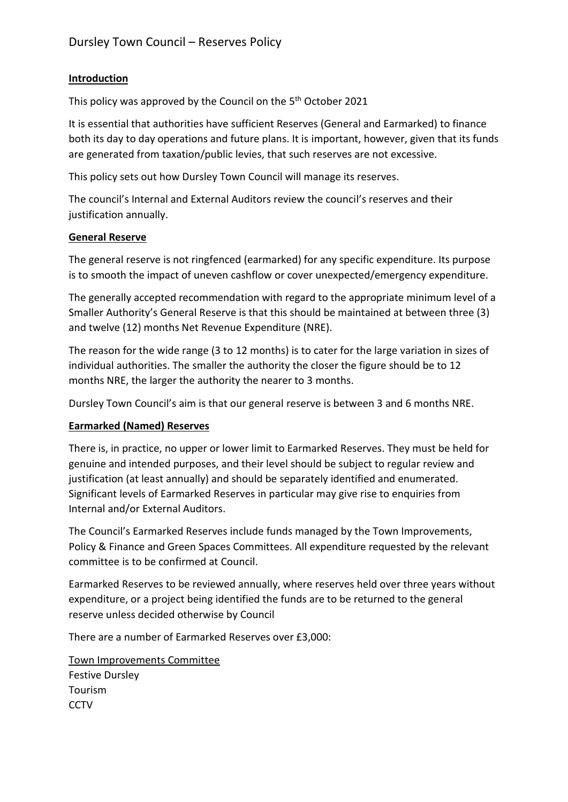# **Introduction**

This policy was approved by the Council on the 5<sup>th</sup> October 2021

It is essential that authorities have sufficient Reserves (General and Earmarked) to finance both its day to day operations and future plans. It is important, however, given that its funds are generated from taxation/public levies, that such reserves are not excessive.

This policy sets out how Dursley Town Council will manage its reserves.

The council's Internal and External Auditors review the council's reserves and their justification annually.

# **General Reserve**

The general reserve is not ringfenced (earmarked) for any specific expenditure. Its purpose is to smooth the impact of uneven cashflow or cover unexpected/emergency expenditure.

The generally accepted recommendation with regard to the appropriate minimum level of a Smaller Authority's General Reserve is that this should be maintained at between three (3) and twelve (12) months Net Revenue Expenditure (NRE).

The reason for the wide range (3 to 12 months) is to cater for the large variation in sizes of individual authorities. The smaller the authority the closer the figure should be to 12 months NRE, the larger the authority the nearer to 3 months.

Dursley Town Council's aim is that our general reserve is between 3 and 6 months NRE.

## **Earmarked (Named) Reserves**

There is, in practice, no upper or lower limit to Earmarked Reserves. They must be held for genuine and intended purposes, and their level should be subject to regular review and justification (at least annually) and should be separately identified and enumerated. Significant levels of Earmarked Reserves in particular may give rise to enquiries from Internal and/or External Auditors.

The Council's Earmarked Reserves include funds managed by the Town Improvements, Policy & Finance and Green Spaces Committees. All expenditure requested by the relevant committee is to be confirmed at Council.

Earmarked Reserves to be reviewed annually, where reserves held over three years without expenditure, or a project being identified the funds are to be returned to the general reserve unless decided otherwise by Council

There are a number of Earmarked Reserves over £3,000:

Town Improvements Committee

Festive Dursley Tourism **CCTV**